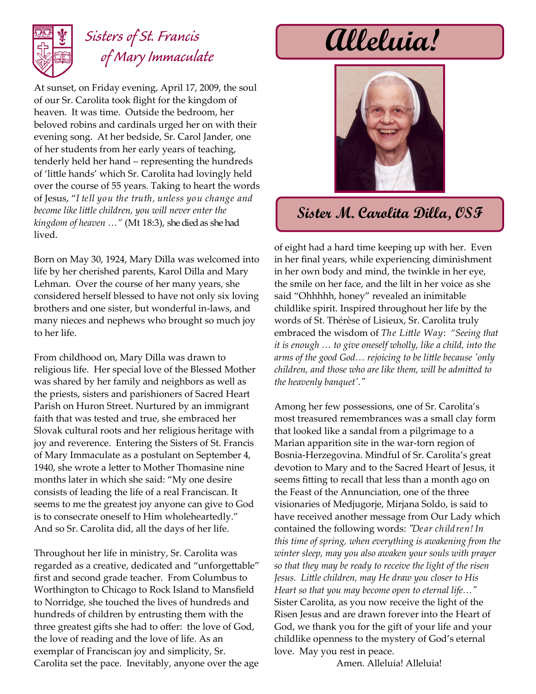

## *Sisters of St. Francis of Mary Immaculate*

At sunset, on Friday evening, April 17, 2009, the soul of our Sr. Carolita took flight for the kingdom of heaven. It was time. Outside the bedroom, her beloved robins and cardinals urged her on with their evening song. At her bedside, Sr. Carol Jander, one of her students from her early years of teaching, tenderly held her hand – representing the hundreds of 'little hands' which Sr. Carolita had lovingly held over the course of 55 years. Taking to heart the words of Jesus, "*I tell you the truth, unless you change and become like little children, you will never enter the kingdom of heaven …"* (Mt 18:3), she died as she had lived.

Born on May 30, 1924, Mary Dilla was welcomed into life by her cherished parents, Karol Dilla and Mary Lehman. Over the course of her many years, she considered herself blessed to have not only six loving brothers and one sister, but wonderful in-laws, and many nieces and nephews who brought so much joy to her life.

From childhood on, Mary Dilla was drawn to religious life. Her special love of the Blessed Mother was shared by her family and neighbors as well as the priests, sisters and parishioners of Sacred Heart Parish on Huron Street. Nurtured by an immigrant faith that was tested and true, she embraced her Slovak cultural roots and her religious heritage with joy and reverence. Entering the Sisters of St. Francis of Mary Immaculate as a postulant on September 4, 1940, she wrote a letter to Mother Thomasine nine months later in which she said: "My one desire consists of leading the life of a real Franciscan. It seems to me the greatest joy anyone can give to God is to consecrate oneself to Him wholeheartedly." And so Sr. Carolita did, all the days of her life.

Throughout her life in ministry, Sr. Carolita was regarded as a creative, dedicated and "unforgettable" first and second grade teacher. From Columbus to Worthington to Chicago to Rock Island to Mansfield to Norridge, she touched the lives of hundreds and hundreds of children by entrusting them with the three greatest gifts she had to offer: the love of God, the love of reading and the love of life. As an exemplar of Franciscan joy and simplicity, Sr. Carolita set the pace. Inevitably, anyone over the age

**Alleluia!**



## **Sister M. Carolita Dilla, OSF**

of eight had a hard time keeping up with her. Even in her final years, while experiencing diminishment in her own body and mind, the twinkle in her eye, the smile on her face, and the lilt in her voice as she said "Ohhhhh, honey" revealed an inimitable childlike spirit. Inspired throughout her life by the words of St. Thérèse of Lisieux, Sr. Carolita truly embraced the wisdom of *The Little Way*: *"Seeing that it is enough … to give oneself wholly, like a child, into the arms of the good God… rejoicing to be little because 'only children, and those who are like them, will be admitted to the heavenly banquet'."*

Among her few possessions, one of Sr. Carolita's most treasured remembrances was a small clay form that looked like a sandal from a pilgrimage to a Marian apparition site in the war-torn region of Bosnia-Herzegovina. Mindful of Sr. Carolita's great devotion to Mary and to the Sacred Heart of Jesus, it seems fitting to recall that less than a month ago on the Feast of the Annunciation, one of the three visionaries of Medjugorje, Mirjana Soldo, is said to have received another message from Our Lady which contained the following words: *"Dear children! In this time of spring, when everything is awakening from the winter sleep, may you also awaken your souls with prayer so that they may be ready to receive the light of the risen Jesus. Little children, may He draw you closer to His Heart so that you may become open to eternal life…"* Sister Carolita, as you now receive the light of the Risen Jesus and are drawn forever into the Heart of God, we thank you for the gift of your life and your childlike openness to the mystery of God's eternal love. May you rest in peace.

Amen. Alleluia! Alleluia!